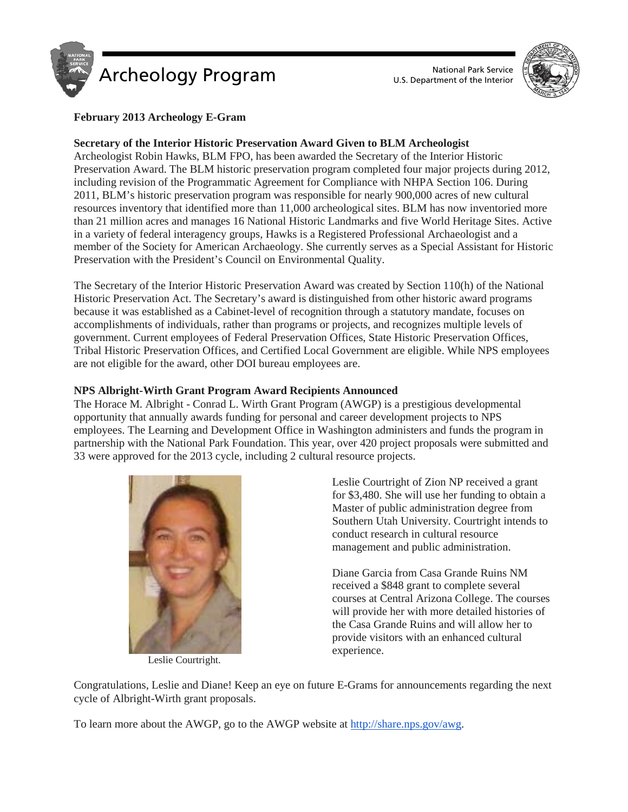



# **February 2013 Archeology E-Gram**

## **Secretary of the Interior Historic Preservation Award Given to BLM Archeologist**

Archeologist Robin Hawks, BLM FPO, has been awarded the Secretary of the Interior Historic Preservation Award. The BLM historic preservation program completed four major projects during 2012, including revision of the Programmatic Agreement for Compliance with NHPA Section 106. During 2011, BLM's historic preservation program was responsible for nearly 900,000 acres of new cultural resources inventory that identified more than 11,000 archeological sites. BLM has now inventoried more than 21 million acres and manages 16 National Historic Landmarks and five World Heritage Sites. Active in a variety of federal interagency groups, Hawks is a Registered Professional Archaeologist and a member of the Society for American Archaeology. She currently serves as a Special Assistant for Historic Preservation with the President's Council on Environmental Quality.

The Secretary of the Interior Historic Preservation Award was created by Section 110(h) of the National Historic Preservation Act. The Secretary's award is distinguished from other historic award programs because it was established as a Cabinet-level of recognition through a statutory mandate, focuses on accomplishments of individuals, rather than programs or projects, and recognizes multiple levels of government. Current employees of Federal Preservation Offices, State Historic Preservation Offices, Tribal Historic Preservation Offices, and Certified Local Government are eligible. While NPS employees are not eligible for the award, other DOI bureau employees are.

## **NPS Albright-Wirth Grant Program Award Recipients Announced**

The Horace M. Albright - Conrad L. Wirth Grant Program (AWGP) is a prestigious developmental opportunity that annually awards funding for personal and career development projects to NPS employees. The Learning and Development Office in Washington administers and funds the program in partnership with the National Park Foundation. This year, over 420 project proposals were submitted and 33 were approved for the 2013 cycle, including 2 cultural resource projects.



Leslie Courtright.

Leslie Courtright of Zion NP received a grant for \$3,480. She will use her funding to obtain a Master of public administration degree from Southern Utah University. Courtright intends to conduct research in cultural resource management and public administration.

Diane Garcia from Casa Grande Ruins NM received a \$848 grant to complete several courses at Central Arizona College. The courses will provide her with more detailed histories of the Casa Grande Ruins and will allow her to provide visitors with an enhanced cultural experience.

Congratulations, Leslie and Diane! Keep an eye on future E-Grams for announcements regarding the next cycle of Albright-Wirth grant proposals.

To learn more about the AWGP, go to the AWGP website at [http://share.nps.gov/awg.](http://share.nps.gov/awg)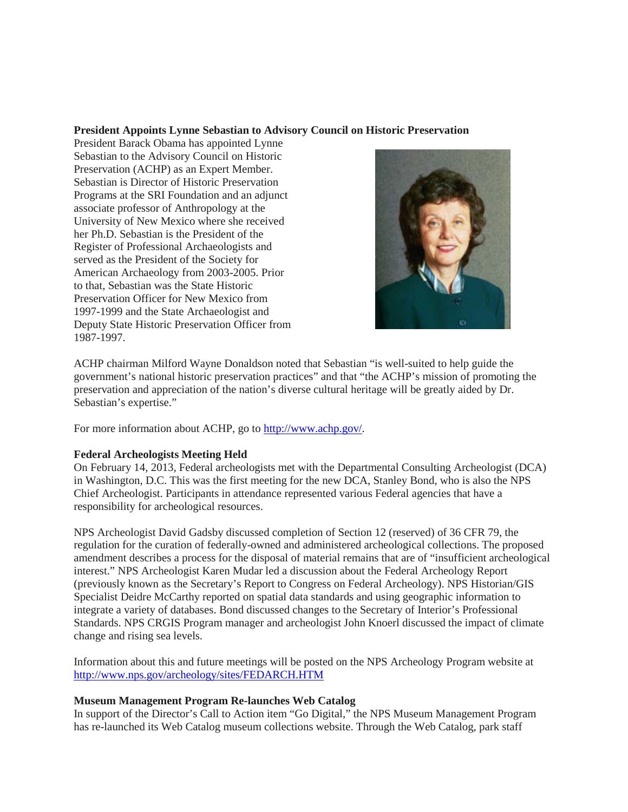#### **President Appoints Lynne Sebastian to Advisory Council on Historic Preservation**

President Barack Obama has appointed Lynne Sebastian to the Advisory Council on Historic Preservation (ACHP) as an Expert Member. Sebastian is Director of Historic Preservation Programs at the SRI Foundation and an adjunct associate professor of Anthropology at the University of New Mexico where she received her Ph.D. Sebastian is the President of the Register of Professional Archaeologists and served as the President of the Society for American Archaeology from 2003-2005. Prior to that, Sebastian was the State Historic Preservation Officer for New Mexico from 1997-1999 and the State Archaeologist and Deputy State Historic Preservation Officer from 1987-1997.



ACHP chairman Milford Wayne Donaldson noted that Sebastian "is well-suited to help guide the government's national historic preservation practices" and that "the ACHP's mission of promoting the preservation and appreciation of the nation's diverse cultural heritage will be greatly aided by Dr. Sebastian's expertise."

For more information about ACHP, go to [http://www.achp.gov/.](http://www.achp.gov/)

## **Federal Archeologists Meeting Held**

On February 14, 2013, Federal archeologists met with the Departmental Consulting Archeologist (DCA) in Washington, D.C. This was the first meeting for the new DCA, Stanley Bond, who is also the NPS Chief Archeologist. Participants in attendance represented various Federal agencies that have a responsibility for archeological resources.

NPS Archeologist David Gadsby discussed completion of Section 12 (reserved) of 36 CFR 79, the regulation for the curation of federally-owned and administered archeological collections. The proposed amendment describes a process for the disposal of material remains that are of "insufficient archeological interest." NPS Archeologist Karen Mudar led a discussion about the Federal Archeology Report (previously known as the Secretary's Report to Congress on Federal Archeology). NPS Historian/GIS Specialist Deidre McCarthy reported on spatial data standards and using geographic information to integrate a variety of databases. Bond discussed changes to the Secretary of Interior's Professional Standards. NPS CRGIS Program manager and archeologist John Knoerl discussed the impact of climate change and rising sea levels.

Information about this and future meetings will be posted on the NPS Archeology Program website at <http://www.nps.gov/archeology/sites/FEDARCH.HTM>

#### **Museum Management Program Re-launches Web Catalog**

In support of the Director's Call to Action item "Go Digital," the NPS Museum Management Program has re-launched its Web Catalog museum collections website. Through the Web Catalog, park staff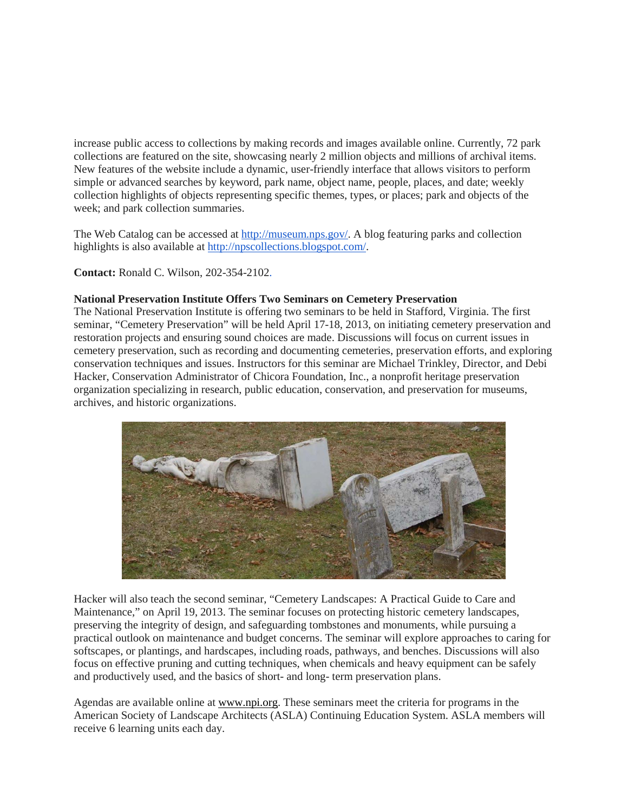increase public access to collections by making records and images available online. Currently, 72 park collections are featured on the site, showcasing nearly 2 million objects and millions of archival items. New features of the website include a dynamic, user-friendly interface that allows visitors to perform simple or advanced searches by keyword, park name, object name, people, places, and date; weekly collection highlights of objects representing specific themes, types, or places; park and objects of the week; and park collection summaries.

The Web Catalog can be accessed at [http://museum.nps.gov/.](http://museum.nps.gov/) A blog featuring parks and collection highlights is also available at [http://npscollections.blogspot.com/.](http://npscollections.blogspot.com/)

**Contact:** Ronald C. Wilson, 202-354-2102.

## **National Preservation Institute Offers Two Seminars on Cemetery Preservation**

The National Preservation Institute is offering two seminars to be held in Stafford, Virginia. The first seminar, "Cemetery Preservation" will be held April 17-18, 2013, on initiating cemetery preservation and restoration projects and ensuring sound choices are made. Discussions will focus on current issues in cemetery preservation, such as recording and documenting cemeteries, preservation efforts, and exploring conservation techniques and issues. Instructors for this seminar are Michael Trinkley, Director, and Debi Hacker, Conservation Administrator of Chicora Foundation, Inc., a nonprofit heritage preservation organization specializing in research, public education, conservation, and preservation for museums, archives, and historic organizations.



Hacker will also teach the second seminar, "Cemetery Landscapes: A Practical Guide to Care and Maintenance," on April 19, 2013. The seminar focuses on protecting historic cemetery landscapes, preserving the integrity of design, and safeguarding tombstones and monuments, while pursuing a practical outlook on maintenance and budget concerns. The seminar will explore approaches to caring for softscapes, or plantings, and hardscapes, including roads, pathways, and benches. Discussions will also focus on effective pruning and cutting techniques, when chemicals and heavy equipment can be safely and productively used, and the basics of short- and long- term preservation plans.

Agendas are available online at [www.npi.org.](http://www.npi.org/) These seminars meet the criteria for programs in the American Society of Landscape Architects (ASLA) Continuing Education System. ASLA members will receive 6 learning units each day.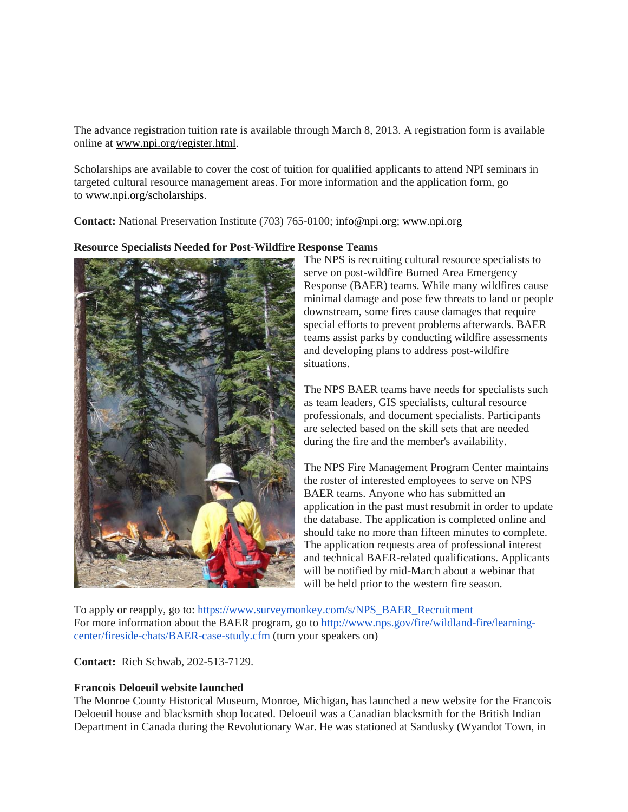The advance registration tuition rate is available through March 8, 2013. A registration form is available online at [www.npi.org/register.html.](http://www.npi.org/register.html)

Scholarships are available to cover the cost of tuition for qualified applicants to attend NPI seminars in targeted cultural resource management areas. For more information and the application form, go to [www.npi.org/scholarships.](http://www.npi.org/scholarships)

**Contact:** National Preservation Institute (703) 765-0100; [info@npi.org;](mailto:info@npi.org) [www.npi.org](http://www.npi.org/)

#### **Resource Specialists Needed for Post-Wildfire Response Teams**



The NPS is recruiting cultural resource specialists to serve on post-wildfire Burned Area Emergency Response (BAER) teams. While many wildfires cause minimal damage and pose few threats to land or people downstream, some fires cause damages that require special efforts to prevent problems afterwards. BAER teams assist parks by conducting wildfire assessments and developing plans to address post-wildfire situations.

The NPS BAER teams have needs for specialists such as team leaders, GIS specialists, cultural resource professionals, and document specialists. Participants are selected based on the skill sets that are needed during the fire and the member's availability.

The NPS Fire Management Program Center maintains the roster of interested employees to serve on NPS BAER teams. Anyone who has submitted an application in the past must resubmit in order to update the database. The application is completed online and should take no more than fifteen minutes to complete. The application requests area of professional interest and technical BAER-related qualifications. Applicants will be notified by mid-March about a webinar that will be held prior to the western fire season.

To apply or reapply, go to: [https://www.surveymonkey.com/s/NPS\\_BAER\\_Recruitment](https://www.surveymonkey.com/s/NPS_BAER_Recruitment)  For more information about the BAER program, go to [http://www.nps.gov/fire/wildland-fire/learning](http://www.nps.gov/fire/wildland-fire/learning-center/fireside-chats/BAER-case-study.cfm)[center/fireside-chats/BAER-case-study.cfm](http://www.nps.gov/fire/wildland-fire/learning-center/fireside-chats/BAER-case-study.cfm) (turn your speakers on)

**Contact:** Rich Schwab, 202-513-7129.

## **Francois Deloeuil website launched**

The Monroe County Historical Museum, Monroe, Michigan, has launched a new website for the Francois Deloeuil house and blacksmith shop located. Deloeuil was a Canadian blacksmith for the British Indian Department in Canada during the Revolutionary War. He was stationed at Sandusky (Wyandot Town, in